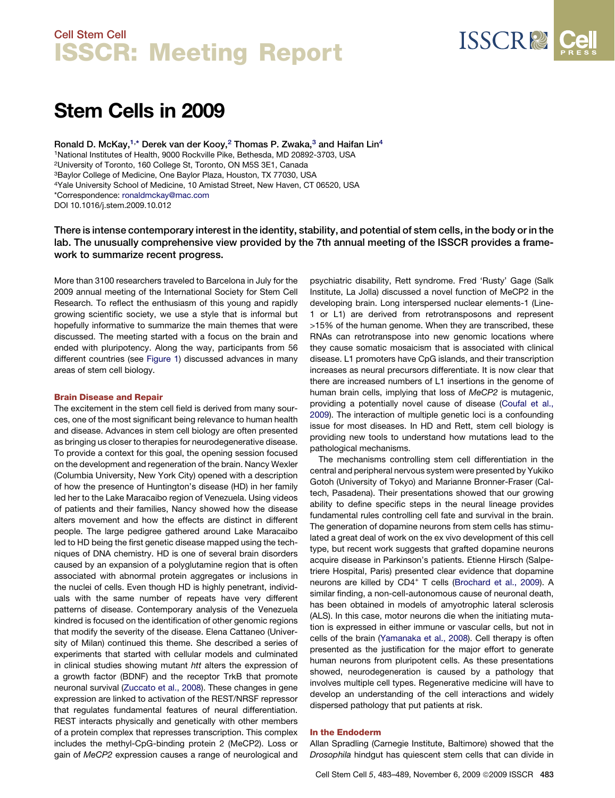

# Stem Cells in 2009

Ronald D. McKay,<sup>1,\*</sup> Derek van der Kooy,<sup>2</sup> Thomas P. Zwaka,<sup>3</sup> and Haifan Lin<sup>4</sup> <sup>1</sup>National Institutes of Health, 9000 Rockville Pike, Bethesda, MD 20892-3703, USA 2University of Toronto, 160 College St, Toronto, ON M5S 3E1, Canada 3Baylor College of Medicine, One Baylor Plaza, Houston, TX 77030, USA 4Yale University School of Medicine, 10 Amistad Street, New Haven, CT 06520, USA \*Correspondence: [ronaldmckay@mac.com](mailto:ronaldmckay@mac.com) DOI 10.1016/j.stem.2009.10.012

There is intense contemporary interest in the identity, stability, and potential of stem cells, in the body or in the lab. The unusually comprehensive view provided by the 7th annual meeting of the ISSCR provides a framework to summarize recent progress.

More than 3100 researchers traveled to Barcelona in July for the 2009 annual meeting of the International Society for Stem Cell Research. To reflect the enthusiasm of this young and rapidly growing scientific society, we use a style that is informal but hopefully informative to summarize the main themes that were discussed. The meeting started with a focus on the brain and ended with pluripotency. Along the way, participants from 56 different countries (see [Figure 1](#page-1-0)) discussed advances in many areas of stem cell biology.

#### Brain Disease and Repair

The excitement in the stem cell field is derived from many sources, one of the most significant being relevance to human health and disease. Advances in stem cell biology are often presented as bringing us closer to therapies for neurodegenerative disease. To provide a context for this goal, the opening session focused on the development and regeneration of the brain. Nancy Wexler (Columbia University, New York City) opened with a description of how the presence of Huntington's disease (HD) in her family led her to the Lake Maracaibo region of Venezuela. Using videos of patients and their families, Nancy showed how the disease alters movement and how the effects are distinct in different people. The large pedigree gathered around Lake Maracaibo led to HD being the first genetic disease mapped using the techniques of DNA chemistry. HD is one of several brain disorders caused by an expansion of a polyglutamine region that is often associated with abnormal protein aggregates or inclusions in the nuclei of cells. Even though HD is highly penetrant, individuals with the same number of repeats have very different patterns of disease. Contemporary analysis of the Venezuela kindred is focused on the identification of other genomic regions that modify the severity of the disease. Elena Cattaneo (University of Milan) continued this theme. She described a series of experiments that started with cellular models and culminated in clinical studies showing mutant *htt* alters the expression of a growth factor (BDNF) and the receptor TrkB that promote neuronal survival [\(Zuccato et al., 2008](#page-6-0)). These changes in gene expression are linked to activation of the REST/NRSF repressor that regulates fundamental features of neural differentiation. REST interacts physically and genetically with other members of a protein complex that represses transcription. This complex includes the methyl-CpG-binding protein 2 (MeCP2). Loss or gain of *MeCP2* expression causes a range of neurological and psychiatric disability, Rett syndrome. Fred 'Rusty' Gage (Salk Institute, La Jolla) discussed a novel function of MeCP2 in the developing brain. Long interspersed nuclear elements-1 (Line-1 or L1) are derived from retrotransposons and represent >15% of the human genome. When they are transcribed, these RNAs can retrotranspose into new genomic locations where they cause somatic mosaicism that is associated with clinical disease. L1 promoters have CpG islands, and their transcription increases as neural precursors differentiate. It is now clear that there are increased numbers of L1 insertions in the genome of human brain cells, implying that loss of *MeCP2* is mutagenic, providing a potentially novel cause of disease [\(Coufal et al.,](#page-6-0) [2009\)](#page-6-0). The interaction of multiple genetic loci is a confounding issue for most diseases. In HD and Rett, stem cell biology is providing new tools to understand how mutations lead to the pathological mechanisms.

The mechanisms controlling stem cell differentiation in the central and peripheral nervous system were presented by Yukiko Gotoh (University of Tokyo) and Marianne Bronner-Fraser (Caltech, Pasadena). Their presentations showed that our growing ability to define specific steps in the neural lineage provides fundamental rules controlling cell fate and survival in the brain. The generation of dopamine neurons from stem cells has stimulated a great deal of work on the ex vivo development of this cell type, but recent work suggests that grafted dopamine neurons acquire disease in Parkinson's patients. Etienne Hirsch (Salpetriere Hospital, Paris) presented clear evidence that dopamine neurons are killed by CD4<sup>+</sup> T cells [\(Brochard et al., 2009\)](#page-6-0). A similar finding, a non-cell-autonomous cause of neuronal death, has been obtained in models of amyotrophic lateral sclerosis (ALS). In this case, motor neurons die when the initiating mutation is expressed in either immune or vascular cells, but not in cells of the brain [\(Yamanaka et al., 2008\)](#page-6-0). Cell therapy is often presented as the justification for the major effort to generate human neurons from pluripotent cells. As these presentations showed, neurodegeneration is caused by a pathology that involves multiple cell types. Regenerative medicine will have to develop an understanding of the cell interactions and widely dispersed pathology that put patients at risk.

### In the Endoderm

Allan Spradling (Carnegie Institute, Baltimore) showed that the *Drosophila* hindgut has quiescent stem cells that can divide in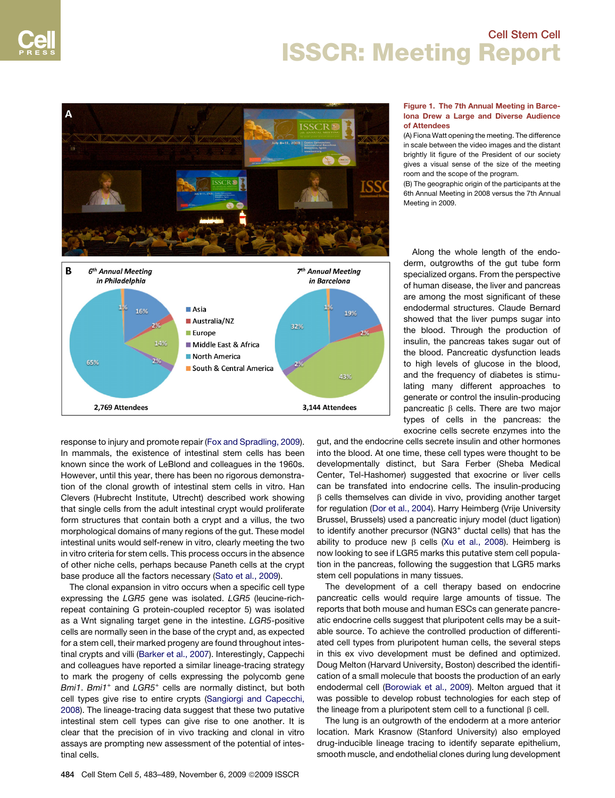<span id="page-1-0"></span>

response to injury and promote repair [\(Fox and Spradling, 2009](#page-6-0)). In mammals, the existence of intestinal stem cells has been known since the work of LeBlond and colleagues in the 1960s. However, until this year, there has been no rigorous demonstration of the clonal growth of intestinal stem cells in vitro. Han Clevers (Hubrecht Institute, Utrecht) described work showing that single cells from the adult intestinal crypt would proliferate form structures that contain both a crypt and a villus, the two morphological domains of many regions of the gut. These model intestinal units would self-renew in vitro, clearly meeting the two in vitro criteria for stem cells. This process occurs in the absence of other niche cells, perhaps because Paneth cells at the crypt base produce all the factors necessary [\(Sato et al., 2009\)](#page-6-0).

The clonal expansion in vitro occurs when a specific cell type expressing the *LGR5* gene was isolated. *LGR5* (leucine-richrepeat containing G protein-coupled receptor 5) was isolated as a Wnt signaling target gene in the intestine. *LGR5*-positive cells are normally seen in the base of the crypt and, as expected for a stem cell, their marked progeny are found throughout intestinal crypts and villi [\(Barker et al., 2007](#page-5-0)). Interestingly, Cappechi and colleagues have reported a similar lineage-tracing strategy to mark the progeny of cells expressing the polycomb gene *Bmi1*. *Bmi1*<sup>+</sup> and *LGR5*<sup>+</sup> cells are normally distinct, but both cell types give rise to entire crypts ([Sangiorgi and Capecchi,](#page-6-0) [2008](#page-6-0)). The lineage-tracing data suggest that these two putative intestinal stem cell types can give rise to one another. It is clear that the precision of in vivo tracking and clonal in vitro assays are prompting new assessment of the potential of intestinal cells.

### Figure 1. The 7th Annual Meeting in Barcelona Drew a Large and Diverse Audience of Attendees

(A) Fiona Watt opening the meeting. The difference in scale between the video images and the distant brightly lit figure of the President of our society gives a visual sense of the size of the meeting room and the scope of the program.

(B) The geographic origin of the participants at the 6th Annual Meeting in 2008 versus the 7th Annual Meeting in 2009.

Along the whole length of the endoderm, outgrowths of the gut tube form specialized organs. From the perspective of human disease, the liver and pancreas are among the most significant of these endodermal structures. Claude Bernard showed that the liver pumps sugar into the blood. Through the production of insulin, the pancreas takes sugar out of the blood. Pancreatic dysfunction leads to high levels of glucose in the blood, and the frequency of diabetes is stimulating many different approaches to generate or control the insulin-producing pancreatic  $\beta$  cells. There are two major types of cells in the pancreas: the exocrine cells secrete enzymes into the

gut, and the endocrine cells secrete insulin and other hormones into the blood. At one time, these cell types were thought to be developmentally distinct, but Sara Ferber (Sheba Medical Center, Tel-Hashomer) suggested that exocrine or liver cells can be transfated into endocrine cells. The insulin-producing B cells themselves can divide in vivo, providing another target for regulation [\(Dor et al., 2004\)](#page-6-0). Harry Heimberg (Vrije University Brussel, Brussels) used a pancreatic injury model (duct ligation) to identify another precursor (NGN3<sup>+</sup> ductal cells) that has the ability to produce new  $\beta$  cells [\(Xu et al., 2008](#page-6-0)). Heimberg is now looking to see if LGR5 marks this putative stem cell population in the pancreas, following the suggestion that LGR5 marks stem cell populations in many tissues.

The development of a cell therapy based on endocrine pancreatic cells would require large amounts of tissue. The reports that both mouse and human ESCs can generate pancreatic endocrine cells suggest that pluripotent cells may be a suitable source. To achieve the controlled production of differentiated cell types from pluripotent human cells, the several steps in this ex vivo development must be defined and optimized. Doug Melton (Harvard University, Boston) described the identification of a small molecule that boosts the production of an early endodermal cell ([Borowiak et al., 2009\)](#page-6-0). Melton argued that it was possible to develop robust technologies for each step of the lineage from a pluripotent stem cell to a functional  $\beta$  cell.

The lung is an outgrowth of the endoderm at a more anterior location. Mark Krasnow (Stanford University) also employed drug-inducible lineage tracing to identify separate epithelium, smooth muscle, and endothelial clones during lung development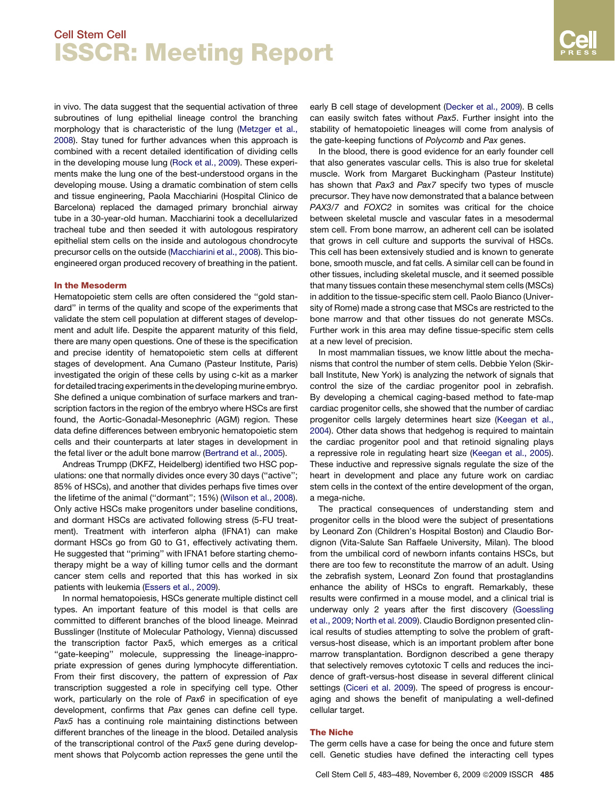in vivo. The data suggest that the sequential activation of three subroutines of lung epithelial lineage control the branching morphology that is characteristic of the lung ([Metzger et al.,](#page-6-0) [2008\)](#page-6-0). Stay tuned for further advances when this approach is combined with a recent detailed identification of dividing cells in the developing mouse lung [\(Rock et al., 2009](#page-6-0)). These experiments make the lung one of the best-understood organs in the developing mouse. Using a dramatic combination of stem cells and tissue engineering, Paola Macchiarini (Hospital Clinico de Barcelona) replaced the damaged primary bronchial airway tube in a 30-year-old human. Macchiarini took a decellularized tracheal tube and then seeded it with autologous respiratory epithelial stem cells on the inside and autologous chondrocyte precursor cells on the outside [\(Macchiarini et al., 2008](#page-6-0)). This bioengineered organ produced recovery of breathing in the patient.

### In the Mesoderm

Hematopoietic stem cells are often considered the ''gold standard'' in terms of the quality and scope of the experiments that validate the stem cell population at different stages of development and adult life. Despite the apparent maturity of this field, there are many open questions. One of these is the specification and precise identity of hematopoietic stem cells at different stages of development. Ana Cumano (Pasteur Institute, Paris) investigated the origin of these cells by using c-kit as a marker for detailed tracing experiments in the developing murine embryo. She defined a unique combination of surface markers and transcription factors in the region of the embryo where HSCs are first found, the Aortic-Gonadal-Mesonephric (AGM) region. These data define differences between embryonic hematopoietic stem cells and their counterparts at later stages in development in the fetal liver or the adult bone marrow [\(Bertrand et al., 2005](#page-6-0)).

Andreas Trumpp (DKFZ, Heidelberg) identified two HSC populations: one that normally divides once every 30 days (''active''; 85% of HSCs), and another that divides perhaps five times over the lifetime of the animal (''dormant''; 15%) ([Wilson et al., 2008\)](#page-6-0). Only active HSCs make progenitors under baseline conditions, and dormant HSCs are activated following stress (5-FU treatment). Treatment with interferon alpha (IFNA1) can make dormant HSCs go from G0 to G1, effectively activating them. He suggested that ''priming'' with IFNA1 before starting chemotherapy might be a way of killing tumor cells and the dormant cancer stem cells and reported that this has worked in six patients with leukemia [\(Essers et al., 2009\)](#page-6-0).

In normal hematopoiesis, HSCs generate multiple distinct cell types. An important feature of this model is that cells are committed to different branches of the blood lineage. Meinrad Busslinger (Institute of Molecular Pathology, Vienna) discussed the transcription factor Pax5, which emerges as a critical ''gate-keeping'' molecule, suppressing the lineage-inappropriate expression of genes during lymphocyte differentiation. From their first discovery, the pattern of expression of *Pax* transcription suggested a role in specifying cell type. Other work, particularly on the role of *Pax6* in specification of eye development, confirms that *Pax* genes can define cell type. *Pax5* has a continuing role maintaining distinctions between different branches of the lineage in the blood. Detailed analysis of the transcriptional control of the *Pax5* gene during development shows that Polycomb action represses the gene until the early B cell stage of development ([Decker et al., 2009](#page-6-0)). B cells can easily switch fates without *Pax5*. Further insight into the stability of hematopoietic lineages will come from analysis of the gate-keeping functions of *Polycomb* and *Pax* genes.

In the blood, there is good evidence for an early founder cell that also generates vascular cells. This is also true for skeletal muscle. Work from Margaret Buckingham (Pasteur Institute) has shown that *Pax3* and *Pax7* specify two types of muscle precursor. They have now demonstrated that a balance between *PAX3/7* and *FOXC2* in somites was critical for the choice between skeletal muscle and vascular fates in a mesodermal stem cell. From bone marrow, an adherent cell can be isolated that grows in cell culture and supports the survival of HSCs. This cell has been extensively studied and is known to generate bone, smooth muscle, and fat cells. A similar cell can be found in other tissues, including skeletal muscle, and it seemed possible that many tissues contain these mesenchymal stem cells (MSCs) in addition to the tissue-specific stem cell. Paolo Bianco (University of Rome) made a strong case that MSCs are restricted to the bone marrow and that other tissues do not generate MSCs. Further work in this area may define tissue-specific stem cells at a new level of precision.

In most mammalian tissues, we know little about the mechanisms that control the number of stem cells. Debbie Yelon (Skirball Institute, New York) is analyzing the network of signals that control the size of the cardiac progenitor pool in zebrafish. By developing a chemical caging-based method to fate-map cardiac progenitor cells, she showed that the number of cardiac progenitor cells largely determines heart size ([Keegan et al.,](#page-6-0) [2004\)](#page-6-0). Other data shows that hedgehog is required to maintain the cardiac progenitor pool and that retinoid signaling plays a repressive role in regulating heart size [\(Keegan et al., 2005\)](#page-6-0). These inductive and repressive signals regulate the size of the heart in development and place any future work on cardiac stem cells in the context of the entire development of the organ, a mega-niche.

The practical consequences of understanding stem and progenitor cells in the blood were the subject of presentations by Leonard Zon (Children's Hospital Boston) and Claudio Bordignon (Vita-Salute San Raffaele University, Milan). The blood from the umbilical cord of newborn infants contains HSCs, but there are too few to reconstitute the marrow of an adult. Using the zebrafish system, Leonard Zon found that prostaglandins enhance the ability of HSCs to engraft. Remarkably, these results were confirmed in a mouse model, and a clinical trial is underway only 2 years after the first discovery ([Goessling](#page-6-0) [et al., 2009; North et al. 2009](#page-6-0)). Claudio Bordignon presented clinical results of studies attempting to solve the problem of graftversus-host disease, which is an important problem after bone marrow transplantation. Bordignon described a gene therapy that selectively removes cytotoxic T cells and reduces the incidence of graft-versus-host disease in several different clinical settings [\(Ciceri et al. 2009](#page-6-0)). The speed of progress is encouraging and shows the benefit of manipulating a well-defined cellular target.

### The Niche

The germ cells have a case for being the once and future stem cell. Genetic studies have defined the interacting cell types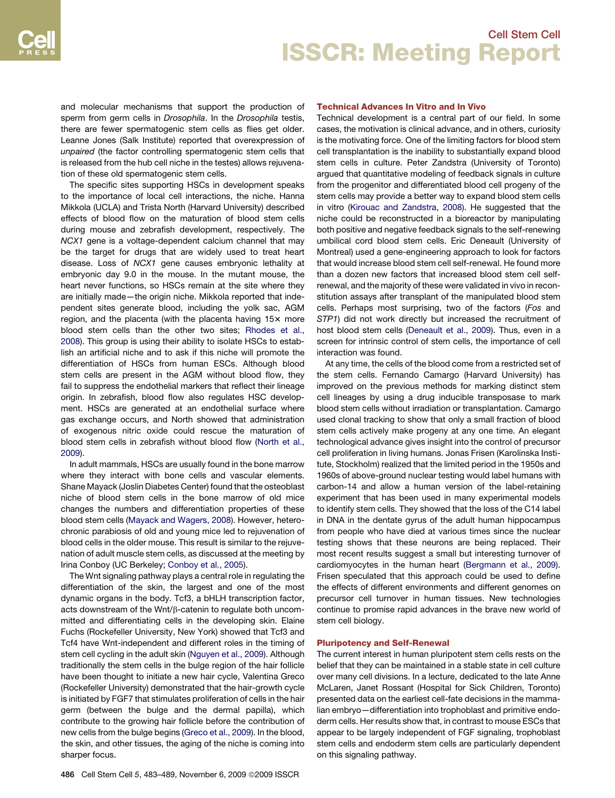and molecular mechanisms that support the production of sperm from germ cells in *Drosophila*. In the *Drosophila* testis, there are fewer spermatogenic stem cells as flies get older. Leanne Jones (Salk Institute) reported that overexpression of *unpaired* (the factor controlling spermatogenic stem cells that is released from the hub cell niche in the testes) allows rejuvenation of these old spermatogenic stem cells.

The specific sites supporting HSCs in development speaks to the importance of local cell interactions, the niche. Hanna Mikkola (UCLA) and Trista North (Harvard University) described effects of blood flow on the maturation of blood stem cells during mouse and zebrafish development, respectively. The *NCX1* gene is a voltage-dependent calcium channel that may be the target for drugs that are widely used to treat heart disease. Loss of *NCX1* gene causes embryonic lethality at embryonic day 9.0 in the mouse. In the mutant mouse, the heart never functions, so HSCs remain at the site where they are initially made—the origin niche. Mikkola reported that independent sites generate blood, including the yolk sac, AGM region, and the placenta (with the placenta having  $15x$  more blood stem cells than the other two sites; [Rhodes et al.,](#page-6-0) [2008](#page-6-0)). This group is using their ability to isolate HSCs to establish an artificial niche and to ask if this niche will promote the differentiation of HSCs from human ESCs. Although blood stem cells are present in the AGM without blood flow, they fail to suppress the endothelial markers that reflect their lineage origin. In zebrafish, blood flow also regulates HSC development. HSCs are generated at an endothelial surface where gas exchange occurs, and North showed that administration of exogenous nitric oxide could rescue the maturation of blood stem cells in zebrafish without blood flow ([North et al.,](#page-6-0) [2009](#page-6-0)).

In adult mammals, HSCs are usually found in the bone marrow where they interact with bone cells and vascular elements. Shane Mayack (Joslin Diabetes Center) found that the osteoblast niche of blood stem cells in the bone marrow of old mice changes the numbers and differentiation properties of these blood stem cells ([Mayack and Wagers, 2008\)](#page-6-0). However, heterochronic parabiosis of old and young mice led to rejuvenation of blood cells in the older mouse. This result is similar to the rejuvenation of adult muscle stem cells, as discussed at the meeting by Irina Conboy (UC Berkeley; [Conboy et al., 2005\)](#page-6-0).

The Wnt signaling pathway plays a central role in regulating the differentiation of the skin, the largest and one of the most dynamic organs in the body. Tcf3, a bHLH transcription factor, acts downstream of the Wnt/ $\beta$ -catenin to regulate both uncommitted and differentiating cells in the developing skin. Elaine Fuchs (Rockefeller University, New York) showed that Tcf3 and Tcf4 have Wnt-independent and different roles in the timing of stem cell cycling in the adult skin [\(Nguyen et al., 2009\)](#page-6-0). Although traditionally the stem cells in the bulge region of the hair follicle have been thought to initiate a new hair cycle, Valentina Greco (Rockefeller University) demonstrated that the hair-growth cycle is initiated by FGF7 that stimulates proliferation of cells in the hair germ (between the bulge and the dermal papilla), which contribute to the growing hair follicle before the contribution of new cells from the bulge begins ([Greco et al., 2009](#page-6-0)). In the blood, the skin, and other tissues, the aging of the niche is coming into sharper focus.

### Technical Advances In Vitro and In Vivo

Technical development is a central part of our field. In some cases, the motivation is clinical advance, and in others, curiosity is the motivating force. One of the limiting factors for blood stem cell transplantation is the inability to substantially expand blood stem cells in culture. Peter Zandstra (University of Toronto) argued that quantitative modeling of feedback signals in culture from the progenitor and differentiated blood cell progeny of the stem cells may provide a better way to expand blood stem cells in vitro ([Kirouac and Zandstra, 2008](#page-6-0)). He suggested that the niche could be reconstructed in a bioreactor by manipulating both positive and negative feedback signals to the self-renewing umbilical cord blood stem cells. Eric Deneault (University of Montreal) used a gene-engineering approach to look for factors that would increase blood stem cell self-renewal. He found more than a dozen new factors that increased blood stem cell selfrenewal, and the majority of these were validated in vivo in reconstitution assays after transplant of the manipulated blood stem cells. Perhaps most surprising, two of the factors (*Fos* and *STP1*) did not work directly but increased the recruitment of host blood stem cells ([Deneault et al., 2009\)](#page-6-0). Thus, even in a screen for intrinsic control of stem cells, the importance of cell interaction was found.

At any time, the cells of the blood come from a restricted set of the stem cells. Fernando Camargo (Harvard University) has improved on the previous methods for marking distinct stem cell lineages by using a drug inducible transposase to mark blood stem cells without irradiation or transplantation. Camargo used clonal tracking to show that only a small fraction of blood stem cells actively make progeny at any one time. An elegant technological advance gives insight into the control of precursor cell proliferation in living humans. Jonas Frisen (Karolinska Institute, Stockholm) realized that the limited period in the 1950s and 1960s of above-ground nuclear testing would label humans with carbon-14 and allow a human version of the label-retaining experiment that has been used in many experimental models to identify stem cells. They showed that the loss of the C14 label in DNA in the dentate gyrus of the adult human hippocampus from people who have died at various times since the nuclear testing shows that these neurons are being replaced. Their most recent results suggest a small but interesting turnover of cardiomyocytes in the human heart ([Bergmann et al., 2009](#page-6-0)). Frisen speculated that this approach could be used to define the effects of different environments and different genomes on precursor cell turnover in human tissues. New technologies continue to promise rapid advances in the brave new world of stem cell biology.

### Pluripotency and Self-Renewal

The current interest in human pluripotent stem cells rests on the belief that they can be maintained in a stable state in cell culture over many cell divisions. In a lecture, dedicated to the late Anne McLaren, Janet Rossant (Hospital for Sick Children, Toronto) presented data on the earliest cell-fate decisions in the mammalian embryo—differentiation into trophoblast and primitive endoderm cells. Her results show that, in contrast to mouse ESCs that appear to be largely independent of FGF signaling, trophoblast stem cells and endoderm stem cells are particularly dependent on this signaling pathway.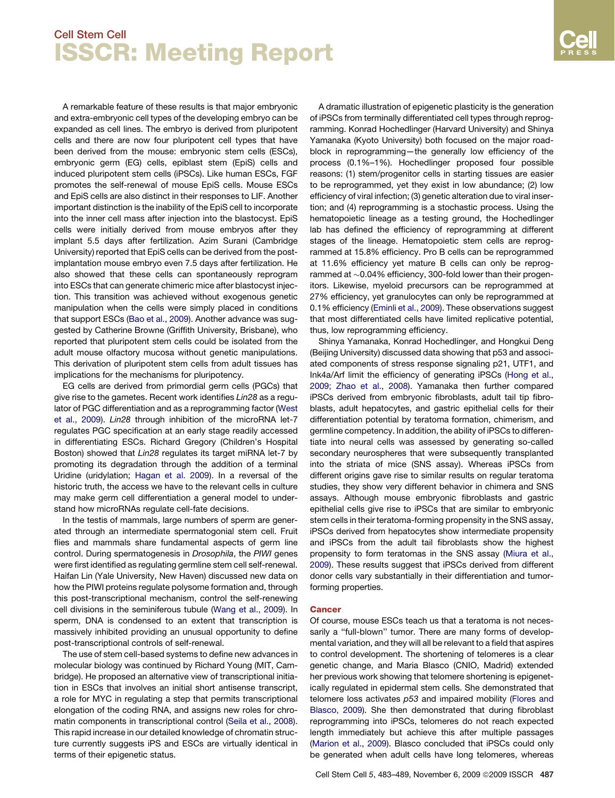A remarkable feature of these results is that major embryonic and extra-embryonic cell types of the developing embryo can be expanded as cell lines. The embryo is derived from pluripotent cells and there are now four pluripotent cell types that have been derived from the mouse: embryonic stem cells (ESCs), embryonic germ (EG) cells, epiblast stem (EpiS) cells and induced pluripotent stem cells (iPSCs). Like human ESCs, FGF promotes the self-renewal of mouse EpiS cells. Mouse ESCs and EpiS cells are also distinct in their responses to LIF. Another important distinction is the inability of the EpiS cell to incorporate into the inner cell mass after injection into the blastocyst. EpiS cells were initially derived from mouse embryos after they implant 5.5 days after fertilization. Azim Surani (Cambridge University) reported that EpiS cells can be derived from the postimplantation mouse embryo even 7.5 days after fertilization. He also showed that these cells can spontaneously reprogram into ESCs that can generate chimeric mice after blastocyst injection. This transition was achieved without exogenous genetic manipulation when the cells were simply placed in conditions that support ESCs [\(Bao et al., 2009\)](#page-5-0). Another advance was suggested by Catherine Browne (Griffith University, Brisbane), who reported that pluripotent stem cells could be isolated from the adult mouse olfactory mucosa without genetic manipulations. This derivation of pluripotent stem cells from adult tissues has implications for the mechanisms for pluripotency.

EG cells are derived from primordial germ cells (PGCs) that give rise to the gametes. Recent work identifies *Lin28* as a regulator of PGC differentiation and as a reprogramming factor ([West](#page-6-0) [et al., 2009\)](#page-6-0). *Lin28* through inhibition of the microRNA let-7 regulates PGC specification at an early stage readily accessed in differentiating ESCs. Richard Gregory (Children's Hospital Boston) showed that *Lin28* regulates its target miRNA let-7 by promoting its degradation through the addition of a terminal Uridine (uridylation; [Hagan et al. 2009](#page-6-0)). In a reversal of the historic truth, the access we have to the relevant cells in culture may make germ cell differentiation a general model to understand how microRNAs regulate cell-fate decisions.

In the testis of mammals, large numbers of sperm are generated through an intermediate spermatogonial stem cell. Fruit flies and mammals share fundamental aspects of germ line control. During spermatogenesis in *Drosophila*, the *PIWI* genes were first identified as regulating germline stem cell self-renewal. Haifan Lin (Yale University, New Haven) discussed new data on how the PIWI proteins regulate polysome formation and, through this post-transcriptional mechanism, control the self-renewing cell divisions in the seminiferous tubule [\(Wang et al., 2009\)](#page-6-0). In sperm, DNA is condensed to an extent that transcription is massively inhibited providing an unusual opportunity to define post-transcriptional controls of self-renewal.

The use of stem cell-based systems to define new advances in molecular biology was continued by Richard Young (MIT, Cambridge). He proposed an alternative view of transcriptional initiation in ESCs that involves an initial short antisense transcript, a role for MYC in regulating a step that permits transcriptional elongation of the coding RNA, and assigns new roles for chromatin components in transcriptional control ([Seila et al., 2008\)](#page-6-0). This rapid increase in our detailed knowledge of chromatin structure currently suggests iPS and ESCs are virtually identical in terms of their epigenetic status.

A dramatic illustration of epigenetic plasticity is the generation of iPSCs from terminally differentiated cell types through reprogramming. Konrad Hochedlinger (Harvard University) and Shinya Yamanaka (Kyoto University) both focused on the major roadblock in reprogramming—the generally low efficiency of the process (0.1%–1%). Hochedlinger proposed four possible reasons: (1) stem/progenitor cells in starting tissues are easier to be reprogrammed, yet they exist in low abundance; (2) low efficiency of viral infection; (3) genetic alteration due to viral insertion; and (4) reprogramming is a stochastic process. Using the hematopoietic lineage as a testing ground, the Hochedlinger lab has defined the efficiency of reprogramming at different stages of the lineage. Hematopoietic stem cells are reprogrammed at 15.8% efficiency. Pro B cells can be reprogrammed at 11.6% efficiency yet mature B cells can only be reprogrammed at  $\sim$ 0.04% efficiency, 300-fold lower than their progenitors. Likewise, myeloid precursors can be reprogrammed at 27% efficiency, yet granulocytes can only be reprogrammed at 0.1% efficiency [\(Eminli et al., 2009\)](#page-6-0). These observations suggest that most differentiated cells have limited replicative potential, thus, low reprogramming efficiency.

Shinya Yamanaka, Konrad Hochedlinger, and Hongkui Deng (Beijing University) discussed data showing that p53 and associated components of stress response signaling p21, UTF1, and Ink4a/Arf limit the efficiency of generating iPSCs ([Hong et al.,](#page-6-0) [2009; Zhao et al., 2008](#page-6-0)). Yamanaka then further compared iPSCs derived from embryonic fibroblasts, adult tail tip fibroblasts, adult hepatocytes, and gastric epithelial cells for their differentiation potential by teratoma formation, chimerism, and germline competency. In addition, the ability of iPSCs to differentiate into neural cells was assessed by generating so-called secondary neurospheres that were subsequently transplanted into the striata of mice (SNS assay). Whereas iPSCs from different origins gave rise to similar results on regular teratoma studies, they show very different behavior in chimera and SNS assays. Although mouse embryonic fibroblasts and gastric epithelial cells give rise to iPSCs that are similar to embryonic stem cells in their teratoma-forming propensity in the SNS assay, iPSCs derived from hepatocytes show intermediate propensity and iPSCs from the adult tail fibroblasts show the highest propensity to form teratomas in the SNS assay [\(Miura et al.,](#page-6-0) [2009\)](#page-6-0). These results suggest that iPSCs derived from different donor cells vary substantially in their differentiation and tumorforming properties.

### **Cancer**

Of course, mouse ESCs teach us that a teratoma is not necessarily a ''full-blown'' tumor. There are many forms of developmental variation, and they will all be relevant to a field that aspires to control development. The shortening of telomeres is a clear genetic change, and Maria Blasco (CNIO, Madrid) extended her previous work showing that telomere shortening is epigenetically regulated in epidermal stem cells. She demonstrated that telomere loss activates *p53* and impaired mobility ([Flores and](#page-6-0) [Blasco, 2009](#page-6-0)). She then demonstrated that during fibroblast reprogramming into iPSCs, telomeres do not reach expected length immediately but achieve this after multiple passages [\(Marion et al., 2009](#page-6-0)). Blasco concluded that iPSCs could only be generated when adult cells have long telomeres, whereas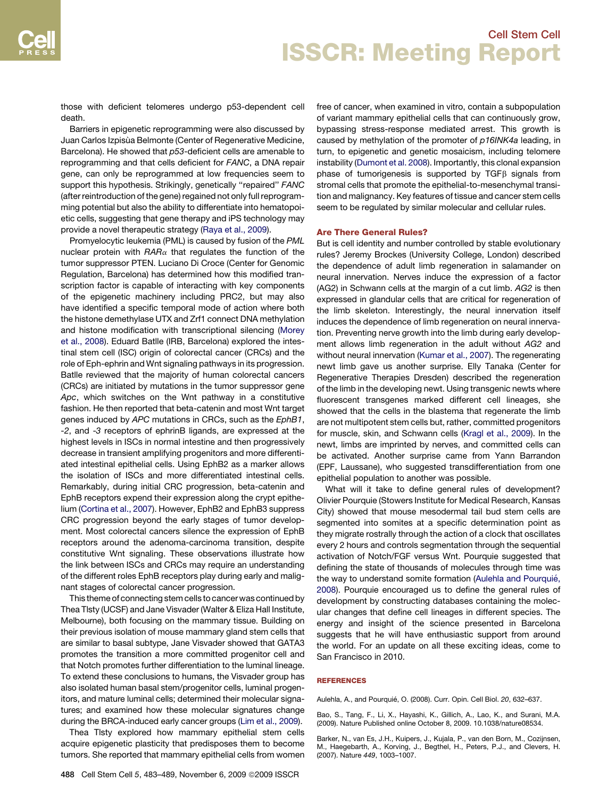<span id="page-5-0"></span>those with deficient telomeres undergo p53-dependent cell death.

Barriers in epigenetic reprogramming were also discussed by Juan Carlos Izpisùa Belmonte (Center of Regenerative Medicine, Barcelona). He showed that *p53*-deficient cells are amenable to reprogramming and that cells deficient for *FANC*, a DNA repair gene, can only be reprogrammed at low frequencies seem to support this hypothesis. Strikingly, genetically ''repaired'' *FANC* (after reintroduction of the gene) regained not only full reprogramming potential but also the ability to differentiate into hematopoietic cells, suggesting that gene therapy and iPS technology may provide a novel therapeutic strategy [\(Raya et al., 2009\)](#page-6-0).

Promyelocytic leukemia (PML) is caused by fusion of the *PML* nuclear protein with  $AAR_{\alpha}$  that regulates the function of the tumor suppressor PTEN. Luciano Di Croce (Center for Genomic Regulation, Barcelona) has determined how this modified transcription factor is capable of interacting with key components of the epigenetic machinery including PRC2, but may also have identified a specific temporal mode of action where both the histone demethylase UTX and Zrf1 connect DNA methylation and histone modification with transcriptional silencing ([Morey](#page-6-0) [et al., 2008](#page-6-0)). Eduard Batlle (IRB, Barcelona) explored the intestinal stem cell (ISC) origin of colorectal cancer (CRCs) and the role of Eph-ephrin and Wnt signaling pathways in its progression. Batlle reviewed that the majority of human colorectal cancers (CRCs) are initiated by mutations in the tumor suppressor gene *Apc*, which switches on the Wnt pathway in a constitutive fashion. He then reported that beta-catenin and most Wnt target genes induced by *APC* mutations in CRCs, such as the *EphB1*, -*2*, and -*3* receptors of ephrinB ligands, are expressed at the highest levels in ISCs in normal intestine and then progressively decrease in transient amplifying progenitors and more differentiated intestinal epithelial cells. Using EphB2 as a marker allows the isolation of ISCs and more differentiated intestinal cells. Remarkably, during initial CRC progression, beta-catenin and EphB receptors expend their expression along the crypt epithelium [\(Cortina et al., 2007](#page-6-0)). However, EphB2 and EphB3 suppress CRC progression beyond the early stages of tumor development. Most colorectal cancers silence the expression of EphB receptors around the adenoma-carcinoma transition, despite constitutive Wnt signaling. These observations illustrate how the link between ISCs and CRCs may require an understanding of the different roles EphB receptors play during early and malignant stages of colorectal cancer progression.

This theme of connecting stem cells to cancer was continued by Thea Tlsty (UCSF) and Jane Visvader (Walter & Eliza Hall Institute, Melbourne), both focusing on the mammary tissue. Building on their previous isolation of mouse mammary gland stem cells that are similar to basal subtype, Jane Visvader showed that GATA3 promotes the transition a more committed progenitor cell and that Notch promotes further differentiation to the luminal lineage. To extend these conclusions to humans, the Visvader group has also isolated human basal stem/progenitor cells, luminal progenitors, and mature luminal cells; determined their molecular signatures; and examined how these molecular signatures change during the BRCA-induced early cancer groups ([Lim et al., 2009](#page-6-0)).

Thea Tlsty explored how mammary epithelial stem cells acquire epigenetic plasticity that predisposes them to become tumors. She reported that mammary epithelial cells from women free of cancer, when examined in vitro, contain a subpopulation of variant mammary epithelial cells that can continuously grow, bypassing stress-response mediated arrest. This growth is caused by methylation of the promoter of *p16INK4a* leading, in turn, to epigenetic and genetic mosaicism, including telomere instability [\(Dumont et al. 2008](#page-6-0)). Importantly, this clonal expansion phase of tumorigenesis is supported by TGF $\beta$  signals from stromal cells that promote the epithelial-to-mesenchymal transition and malignancy. Key features of tissue and cancer stem cells seem to be regulated by similar molecular and cellular rules.

### Are There General Rules?

But is cell identity and number controlled by stable evolutionary rules? Jeremy Brockes (University College, London) described the dependence of adult limb regeneration in salamander on neural innervation. Nerves induce the expression of a factor (AG2) in Schwann cells at the margin of a cut limb. *AG2* is then expressed in glandular cells that are critical for regeneration of the limb skeleton. Interestingly, the neural innervation itself induces the dependence of limb regeneration on neural innervation. Preventing nerve growth into the limb during early development allows limb regeneration in the adult without *AG2* and without neural innervation ([Kumar et al., 2007\)](#page-6-0). The regenerating newt limb gave us another surprise. Elly Tanaka (Center for Regenerative Therapies Dresden) described the regeneration of the limb in the developing newt. Using transgenic newts where fluorescent transgenes marked different cell lineages, she showed that the cells in the blastema that regenerate the limb are not multipotent stem cells but, rather, committed progenitors for muscle, skin, and Schwann cells ([Kragl et al., 2009\)](#page-6-0). In the newt, limbs are imprinted by nerves, and committed cells can be activated. Another surprise came from Yann Barrandon (EPF, Laussane), who suggested transdifferentiation from one epithelial population to another was possible.

What will it take to define general rules of development? Olivier Pourquie (Stowers Institute for Medical Research, Kansas City) showed that mouse mesodermal tail bud stem cells are segmented into somites at a specific determination point as they migrate rostrally through the action of a clock that oscillates every 2 hours and controls segmentation through the sequential activation of Notch/FGF versus Wnt. Pourquie suggested that defining the state of thousands of molecules through time was the way to understand somite formation (Aulehla and Pourquié, 2008). Pourquie encouraged us to define the general rules of development by constructing databases containing the molecular changes that define cell lineages in different species. The energy and insight of the science presented in Barcelona suggests that he will have enthusiastic support from around the world. For an update on all these exciting ideas, come to San Francisco in 2010.

#### REFERENCES

Aulehla, A., and Pourquié, O. (2008). Curr. Opin. Cell Biol. 20, 632-637.

Bao, S., Tang, F., Li, X., Hayashi, K., Gillich, A., Lao, K., and Surani, M.A. (2009). Nature Published online October 8, 2009. 10.1038/nature08534.

Barker, N., van Es, J.H., Kuipers, J., Kujala, P., van den Born, M., Cozijnsen, M., Haegebarth, A., Korving, J., Begthel, H., Peters, P.J., and Clevers, H. (2007). Nature *449*, 1003–1007.